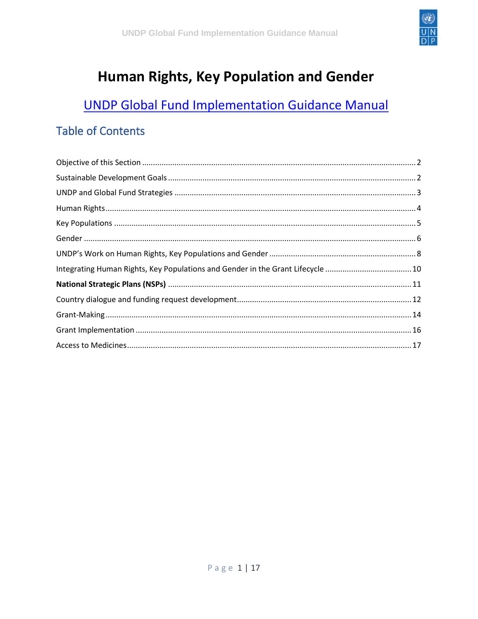

# Human Rights, Key Population and Gender

## **UNDP Global Fund Implementation Guidance Manual**

#### **Table of Contents**

| Integrating Human Rights, Key Populations and Gender in the Grant Lifecycle 10 |  |
|--------------------------------------------------------------------------------|--|
|                                                                                |  |
|                                                                                |  |
|                                                                                |  |
|                                                                                |  |
|                                                                                |  |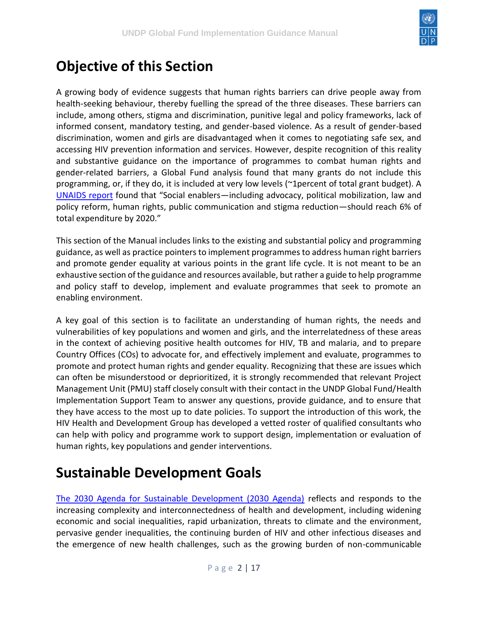

#### <span id="page-1-0"></span>**Objective of this Section**

A growing body of evidence suggests that human rights barriers can drive people away from health-seeking behaviour, thereby fuelling the spread of the three diseases. These barriers can include, among others, stigma and discrimination, punitive legal and policy frameworks, lack of informed consent, mandatory testing, and gender-based violence. As a result of gender-based discrimination, women and girls are disadvantaged when it comes to negotiating safe sex, and accessing HIV prevention information and services. However, despite recognition of this reality and substantive guidance on the importance of programmes to combat human rights and gender-related barriers, a Global Fund analysis found that many grants do not include this programming, or, if they do, it is included at very low levels (~1percent of total grant budget). A [UNAIDS report](http://www.unaids.org/en/resources/documents/2016/unaids_fast-track_update_investments_needed) found that "Social enablers—including advocacy, political mobilization, law and policy reform, human rights, public communication and stigma reduction—should reach 6% of total expenditure by 2020."

This section of the Manual includes links to the existing and substantial policy and programming guidance, as well as practice pointers to implement programmes to address human right barriers and promote gender equality at various points in the grant life cycle. It is not meant to be an exhaustive section of the guidance and resources available, but rather a guide to help programme and policy staff to develop, implement and evaluate programmes that seek to promote an enabling environment.

A key goal of this section is to facilitate an understanding of human rights, the needs and vulnerabilities of key populations and women and girls, and the interrelatedness of these areas in the context of achieving positive health outcomes for HIV, TB and malaria, and to prepare Country Offices (COs) to advocate for, and effectively implement and evaluate, programmes to promote and protect human rights and gender equality. Recognizing that these are issues which can often be misunderstood or deprioritized, it is strongly recommended that relevant Project Management Unit (PMU) staff closely consult with their contact in the UNDP Global Fund/Health Implementation Support Team to answer any questions, provide guidance, and to ensure that they have access to the most up to date policies. To support the introduction of this work, the HIV Health and Development Group has developed a vetted roster of qualified consultants who can help with policy and programme work to support design, implementation or evaluation of human rights, key populations and gender interventions.

## <span id="page-1-1"></span>**Sustainable Development Goals**

[The 2030 Agenda for Sustainable Development \(2030 Agenda\)](https://sustainabledevelopment.un.org/post2015/transformingourworld) reflects and responds to the increasing complexity and interconnectedness of health and development, including widening economic and social inequalities, rapid urbanization, threats to climate and the environment, pervasive gender inequalities, the continuing burden of HIV and other infectious diseases and the emergence of new health challenges, such as the growing burden of non-communicable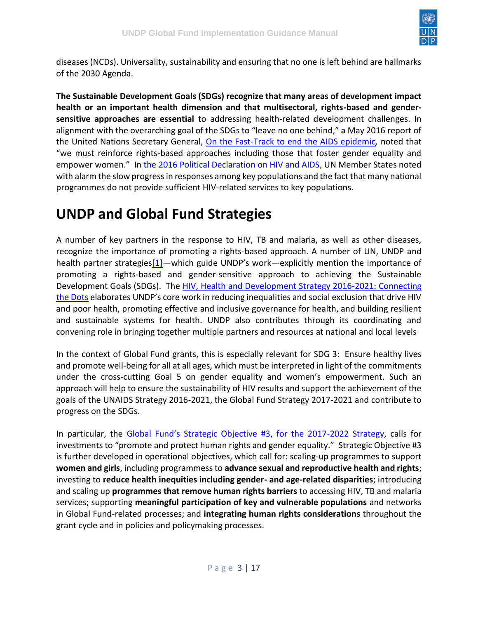

diseases (NCDs). Universality, sustainability and ensuring that no one is left behind are hallmarks of the 2030 Agenda.

**The Sustainable Development Goals (SDGs) recognize that many areas of development impact health or an important health dimension and that multisectoral, rights-based and gendersensitive approaches are essential** to addressing health-related development challenges. In alignment with the overarching goal of the SDGs to "leave no one behind," a May 2016 report of the United Nations Secretary General, [On the Fast-Track to end the AIDS epidemic](http://sgreport.unaids.org/)*,* noted that "we must reinforce rights-based approaches including those that foster gender equality and empower women." In [the 2016 Political Declaration on HIV and AIDS,](http://www.hlm2016aids.unaids.org/wp-content/uploads/2016/06/2016-political-declaration-HIV-AIDS_en.pdf) UN Member States noted with alarm the slow progress in responses among key populations and the fact that many national programmes do not provide sufficient HIV-related services to key populations.

#### <span id="page-2-0"></span>**UNDP and Global Fund Strategies**

A number of key partners in the response to HIV, TB and malaria, as well as other diseases, recognize the importance of promoting a rights-based approach. A number of UN, UNDP and health partner strategie[s\[1\]](https://undphealthimplementation.org/functional-areas/human-rights-key-populations-and-gender/overview/undp-and-global-fund-strategies/#_ftn1)—which guide UNDP's work—explicitly mention the importance of promoting a rights-based and gender-sensitive approach to achieving the Sustainable Development Goals (SDGs). The HIV, Health [and Development Strategy 2016-2021: Connecting](http://www.undp.org/content/undp/en/home/librarypage/hiv-aids/hiv--health-and-development-strategy-2016-2021.html)  [the Dots](http://www.undp.org/content/undp/en/home/librarypage/hiv-aids/hiv--health-and-development-strategy-2016-2021.html) elaborates UNDP's core work in reducing inequalities and social exclusion that drive HIV and poor health, promoting effective and inclusive governance for health, and building resilient and sustainable systems for health. UNDP also contributes through its coordinating and convening role in bringing together multiple partners and resources at national and local levels

In the context of Global Fund grants, this is especially relevant for SDG 3: Ensure healthy lives and promote well-being for all at all ages, which must be interpreted in light of the commitments under the cross-cutting Goal 5 on gender equality and women's empowerment. Such an approach will help to ensure the sustainability of HIV results and support the achievement of the goals of the UNAIDS Strategy 2016-2021, the Global Fund Strategy 2017-2021 and contribute to progress on the SDGs.

In particular, the [Global Fund's Strategic Objective #3, for the 2017](https://www.theglobalfund.org/media/1176/bm35_02-theglobalfundstrategy2017-2022investingtoendepidemics_report_en.pdf)-2022 Strategy, calls for investments to "promote and protect human rights and gender equality." Strategic Objective #3 is further developed in operational objectives, which call for: scaling-up programmes to support **women and girls**, including programmess to **advance sexual and reproductive health and rights**; investing to **reduce health inequities including gender- and age-related disparities**; introducing and scaling up **programmes that remove human rights barriers** to accessing HIV, TB and malaria services; supporting **meaningful participation of key and vulnerable populations** and networks in Global Fund-related processes; and **integrating human rights considerations** throughout the grant cycle and in policies and policymaking processes.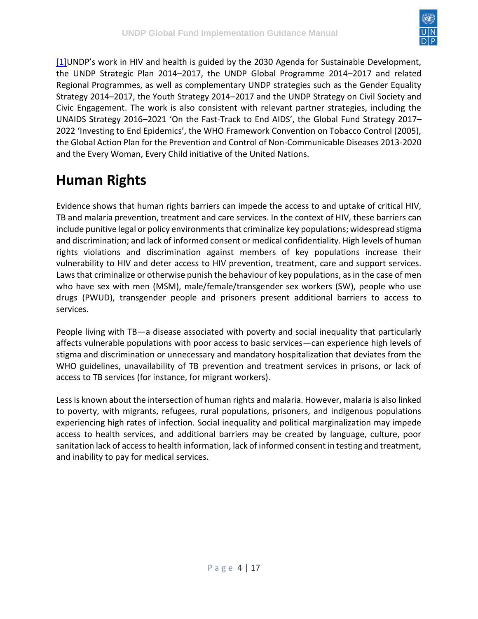

[\[1\]](https://undphealthimplementation.org/functional-areas/human-rights-key-populations-and-gender/overview/undp-and-global-fund-strategies/#_ftnref1)UNDP's work in HIV and health is guided by the 2030 Agenda for Sustainable Development, the UNDP Strategic Plan 2014–2017, the UNDP Global Programme 2014–2017 and related Regional Programmes, as well as complementary UNDP strategies such as the Gender Equality Strategy 2014–2017, the Youth Strategy 2014–2017 and the UNDP Strategy on Civil Society and Civic Engagement. The work is also consistent with relevant partner strategies, including the UNAIDS Strategy 2016–2021 'On the Fast-Track to End AIDS', the Global Fund Strategy 2017– 2022 'Investing to End Epidemics', the WHO Framework Convention on Tobacco Control (2005), the Global Action Plan for the Prevention and Control of Non-Communicable Diseases 2013-2020 and the Every Woman, Every Child initiative of the United Nations.

# <span id="page-3-0"></span>**Human Rights**

Evidence shows that human rights barriers can impede the access to and uptake of critical HIV, TB and malaria prevention, treatment and care services. In the context of HIV, these barriers can include punitive legal or policy environments that criminalize key populations; widespread stigma and discrimination; and lack of informed consent or medical confidentiality. High levels of human rights violations and discrimination against members of key populations increase their vulnerability to HIV and deter access to HIV prevention, treatment, care and support services. Laws that criminalize or otherwise punish the behaviour of key populations, as in the case of men who have sex with men (MSM), male/female/transgender sex workers (SW), people who use drugs (PWUD), transgender people and prisoners present additional barriers to access to services.

People living with TB—a disease associated with poverty and social inequality that particularly affects vulnerable populations with poor access to basic services—can experience high levels of stigma and discrimination or unnecessary and mandatory hospitalization that deviates from the WHO guidelines, unavailability of TB prevention and treatment services in prisons, or lack of access to TB services (for instance, for migrant workers).

Less is known about the intersection of human rights and malaria. However, malaria is also linked to poverty, with migrants, refugees, rural populations, prisoners, and indigenous populations experiencing high rates of infection. Social inequality and political marginalization may impede access to health services, and additional barriers may be created by language, culture, poor sanitation lack of access to health information, lack of informed consent in testing and treatment, and inability to pay for medical services.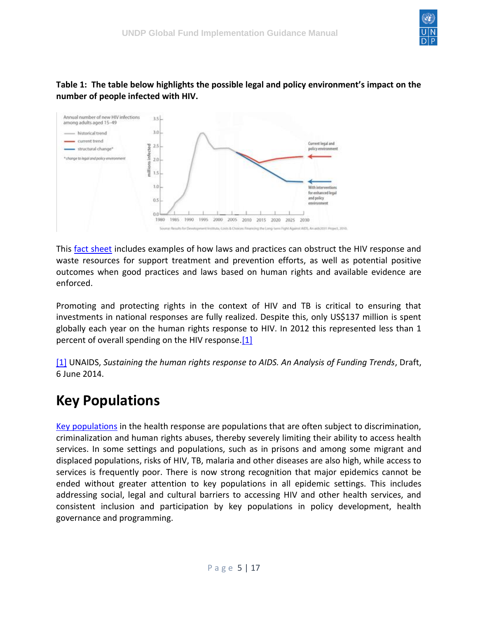

#### **Table 1: The table below highlights the possible legal and policy environment's impact on the number of people infected with HIV.**



This [fact sheet](https://hivlawcommission.org/wp-content/uploads/2017/07/Fact-Sheet-on-HIV-and-the-Law_10-July.pdf) includes examples of how laws and practices can obstruct the HIV response and waste resources for support treatment and prevention efforts, as well as potential positive outcomes when good practices and laws based on human rights and available evidence are enforced.

Promoting and protecting rights in the context of HIV and TB is critical to ensuring that investments in national responses are fully realized. Despite this, only US\$137 million is spent globally each year on the human rights response to HIV. In 2012 this represented less than 1 percent of overall spending on the HIV response[.\[1\]](https://undphealthimplementation.org/functional-areas/human-rights-key-populations-and-gender/overview/human-rights/#_ftn1)

[\[1\]](https://undphealthimplementation.org/functional-areas/human-rights-key-populations-and-gender/overview/human-rights/#_ftnref1) UNAIDS, *Sustaining the human rights response to AIDS. An Analysis of Funding Trends*, Draft, 6 June 2014.

#### <span id="page-4-0"></span>**Key Populations**

[Key populations](https://www.theglobalfund.org/media/1270/publication_keypopulations_actionplan_en.pdf) in the health response are populations that are often subject to discrimination, criminalization and human rights abuses, thereby severely limiting their ability to access health services. In some settings and populations, such as in prisons and among some migrant and displaced populations, risks of HIV, TB, malaria and other diseases are also high, while access to services is frequently poor. There is now strong recognition that major epidemics cannot be ended without greater attention to key populations in all epidemic settings. This includes addressing social, legal and cultural barriers to accessing HIV and other health services, and consistent inclusion and participation by key populations in policy development, health governance and programming.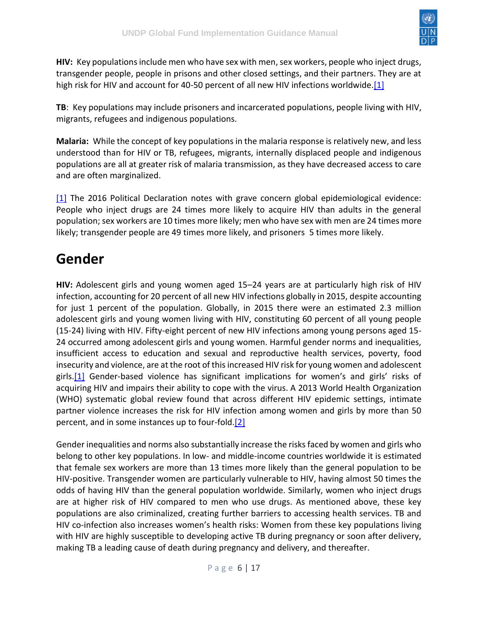

**HIV:** Key populations include men who have sex with men, sex workers, people who inject drugs, transgender people, people in prisons and other closed settings, and their partners. They are at high risk for HIV and account for 40-50 percent of all new HIV infections worldwide[.\[1\]](https://undphealthimplementation.org/functional-areas/human-rights-key-populations-and-gender/overview/key-populations/#_ftn1)

**TB**: Key populations may include prisoners and incarcerated populations, people living with HIV, migrants, refugees and indigenous populations.

**Malaria:** While the concept of key populations in the malaria response is relatively new, and less understood than for HIV or TB, refugees, migrants, internally displaced people and indigenous populations are all at greater risk of malaria transmission, as they have decreased access to care and are often marginalized.

[\[1\]](https://undphealthimplementation.org/functional-areas/human-rights-key-populations-and-gender/overview/key-populations/#_ftnref1) The 2016 Political Declaration notes with grave concern global epidemiological evidence: People who inject drugs are 24 times more likely to acquire HIV than adults in the general population; sex workers are 10 times more likely; men who have sex with men are 24 times more likely; transgender people are 49 times more likely, and prisoners 5 times more likely.

### <span id="page-5-0"></span>**Gender**

**HIV:** Adolescent girls and young women aged 15–24 years are at particularly high risk of HIV infection, accounting for 20 percent of all new HIV infections globally in 2015, despite accounting for just 1 percent of the population. Globally, in 2015 there were an estimated 2.3 million adolescent girls and young women living with HIV, constituting 60 percent of all young people (15-24) living with HIV. Fifty-eight percent of new HIV infections among young persons aged 15- 24 occurred among adolescent girls and young women. Harmful gender norms and inequalities, insufficient access to education and sexual and reproductive health services, poverty, food insecurity and violence, are at the root of this increased HIV risk for young women and adolescent girls[.\[1\]](https://undphealthimplementation.org/functional-areas/human-rights-key-populations-and-gender/overview/gender/#_ftn1) Gender-based violence has significant implications for women's and girls' risks of acquiring HIV and impairs their ability to cope with the virus. A 2013 World Health Organization (WHO) systematic global review found that across different HIV epidemic settings, intimate partner violence increases the risk for HIV infection among women and girls by more than 50 percent, and in some instances up to four-fold[.\[2\]](https://undphealthimplementation.org/functional-areas/human-rights-key-populations-and-gender/overview/gender/#_ftn2)

Gender inequalities and norms also substantially increase the risks faced by women and girls who belong to other key populations. In low- and middle-income countries worldwide it is estimated that female sex workers are more than 13 times more likely than the general population to be HIV-positive. Transgender women are particularly vulnerable to HIV, having almost 50 times the odds of having HIV than the general population worldwide. Similarly, women who inject drugs are at higher risk of HIV compared to men who use drugs. As mentioned above, these key populations are also criminalized, creating further barriers to accessing health services. TB and HIV co-infection also increases women's health risks: Women from these key populations living with HIV are highly susceptible to developing active TB during pregnancy or soon after delivery, making TB a leading cause of death during pregnancy and delivery, and thereafter.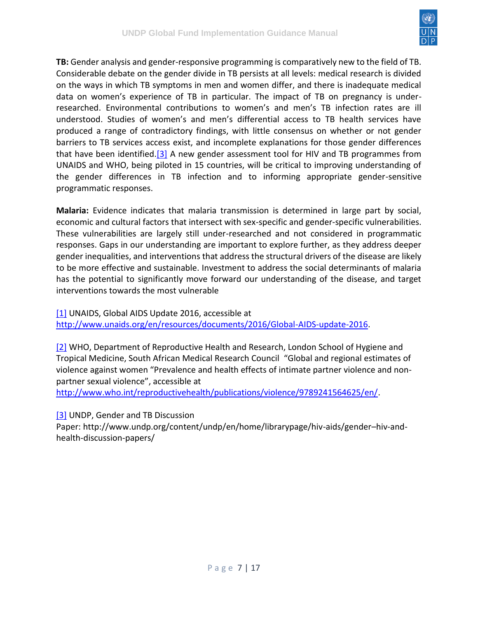

**TB:** Gender analysis and gender-responsive programming is comparatively new to the field of TB. Considerable debate on the gender divide in TB persists at all levels: medical research is divided on the ways in which TB symptoms in men and women differ, and there is inadequate medical data on women's experience of TB in particular. The impact of TB on pregnancy is underresearched. Environmental contributions to women's and men's TB infection rates are ill understood. Studies of women's and men's differential access to TB health services have produced a range of contradictory findings, with little consensus on whether or not gender barriers to TB services access exist, and incomplete explanations for those gender differences that have been identified[.\[3\]](https://undphealthimplementation.org/functional-areas/human-rights-key-populations-and-gender/overview/gender/#_ftn3) A new gender assessment tool for HIV and TB programmes from UNAIDS and WHO, being piloted in 15 countries, will be critical to improving understanding of the gender differences in TB infection and to informing appropriate gender-sensitive programmatic responses.

**Malaria:** Evidence indicates that malaria transmission is determined in large part by social, economic and cultural factors that intersect with sex-specific and gender-specific vulnerabilities. These vulnerabilities are largely still under-researched and not considered in programmatic responses. Gaps in our understanding are important to explore further, as they address deeper gender inequalities, and interventions that address the structural drivers of the disease are likely to be more effective and sustainable. Investment to address the social determinants of malaria has the potential to significantly move forward our understanding of the disease, and target interventions towards the most vulnerable

[\[1\]](https://undphealthimplementation.org/functional-areas/human-rights-key-populations-and-gender/overview/gender/#_ftnref1) UNAIDS, Global AIDS Update 2016, accessible at [http://www.unaids.org/en/resources/documents/2016/Global-AIDS-update-2016.](http://www.unaids.org/en/resources/documents/2016/Global-AIDS-update-2016)

[\[2\]](https://undphealthimplementation.org/functional-areas/human-rights-key-populations-and-gender/overview/gender/#_ftnref2) WHO, Department of Reproductive Health and Research, London School of Hygiene and Tropical Medicine, South African Medical Research Council "Global and regional estimates of violence against women "Prevalence and health effects of intimate partner violence and nonpartner sexual violence", accessible at

[http://www.who.int/reproductivehealth/publications/violence/9789241564625/en/.](http://www.who.int/reproductivehealth/publications/violence/9789241564625/en/)

[\[3\]](https://undphealthimplementation.org/functional-areas/human-rights-key-populations-and-gender/overview/gender/#_ftnref3) UNDP, Gender and TB Discussion

Paper: http://www.undp.org/content/undp/en/home/librarypage/hiv-aids/gender–hiv-andhealth-discussion-papers/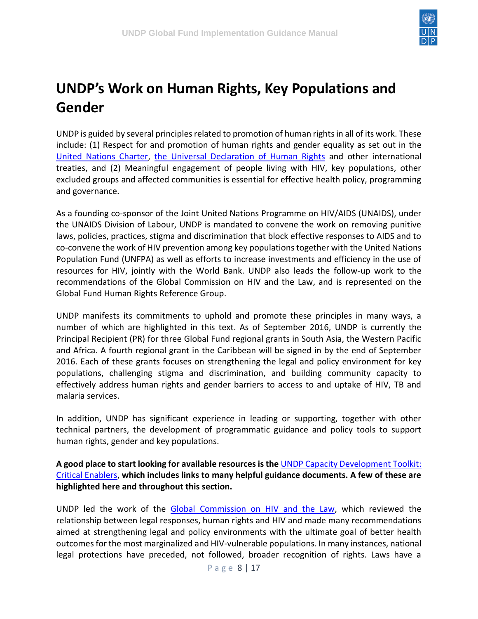

# <span id="page-7-0"></span>**UNDP's Work on Human Rights, Key Populations and Gender**

UNDP is guided by several principles related to promotion of human rights in all of its work. These include: (1) Respect for and promotion of human rights and gender equality as set out in the [United Nations Charter,](http://www.un.org/en/charter-united-nations) [the Universal Declaration of Human Rights](http://www.un.org/en/universal-declaration-human-rights) and other international treaties, and (2) Meaningful engagement of people living with HIV, key populations, other excluded groups and affected communities is essential for effective health policy, programming and governance.

As a founding co-sponsor of the Joint United Nations Programme on HIV/AIDS (UNAIDS), under the UNAIDS Division of Labour, UNDP is mandated to convene the work on removing punitive laws, policies, practices, stigma and discrimination that block effective responses to AIDS and to co-convene the work of HIV prevention among key populations together with the United Nations Population Fund (UNFPA) as well as efforts to increase investments and efficiency in the use of resources for HIV, jointly with the World Bank. UNDP also leads the follow-up work to the recommendations of the Global Commission on HIV and the Law, and is represented on the Global Fund Human Rights Reference Group.

UNDP manifests its commitments to uphold and promote these principles in many ways, a number of which are highlighted in this text. As of September 2016, UNDP is currently the Principal Recipient (PR) for three Global Fund regional grants in South Asia, the Western Pacific and Africa. A fourth regional grant in the Caribbean will be signed in by the end of September 2016. Each of these grants focuses on strengthening the legal and policy environment for key populations, challenging stigma and discrimination, and building community capacity to effectively address human rights and gender barriers to access to and uptake of HIV, TB and malaria services.

In addition, UNDP has significant experience in leading or supporting, together with other technical partners, the development of programmatic guidance and policy tools to support human rights, gender and key populations.

**A good place to start looking for available resources is the** [UNDP Capacity Development Toolkit:](http://www.undp-globalfund-capacitydevelopment.org/en/critical-enablers/)  [Critical Enablers,](http://www.undp-globalfund-capacitydevelopment.org/en/critical-enablers/) **which includes links to many helpful guidance documents. A few of these are highlighted here and throughout this section.**

UNDP led the work of the [Global Commission on HIV and the Law,](http://www.hivlawcommission.org/) which reviewed the relationship between legal responses, human rights and HIV and made many recommendations aimed at strengthening legal and policy environments with the ultimate goal of better health outcomes for the most marginalized and HIV-vulnerable populations. In many instances, national legal protections have preceded, not followed, broader recognition of rights. Laws have a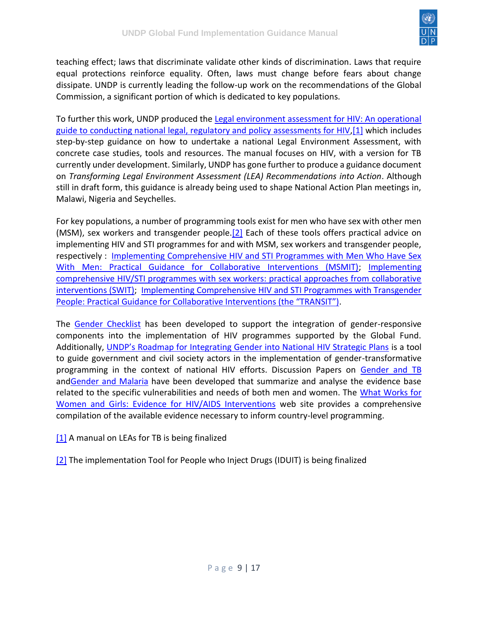

teaching effect; laws that discriminate validate other kinds of discrimination. Laws that require equal protections reinforce equality. Often, laws must change before fears about change dissipate. UNDP is currently leading the follow-up work on the recommendations of the Global Commission, a significant portion of which is dedicated to key populations.

To further this work, UNDP produced the [Legal environment assessment for HIV: An operational](http://www.undp.org/content/undp/en/home/librarypage/hiv-aids/practical-manual--legal-environment-assessment-for-hiv--an-opera.html)  [guide to conducting national legal, regulatory and policy assessments for HIV](http://www.undp.org/content/undp/en/home/librarypage/hiv-aids/practical-manual--legal-environment-assessment-for-hiv--an-opera.html)[,\[1\]](https://undphealthimplementation.org/functional-areas/human-rights-key-populations-and-gender/undp-s-work-on-human-rights-key-populations-and-gender/#_ftn1) which includes step-by-step guidance on how to undertake a national Legal Environment Assessment, with concrete case studies, tools and resources. The manual focuses on HIV, with a version for TB currently under development. Similarly, UNDP has gone further to produce a guidance document on *Transforming Legal Environment Assessment (LEA) Recommendations into Action*. Although still in draft form, this guidance is already being used to shape National Action Plan meetings in, Malawi, Nigeria and Seychelles.

For key populations, a number of programming tools exist for men who have sex with other men (MSM), sex workers and transgender people.<sup>[2]</sup> Each of these tools offers practical advice on implementing HIV and STI programmes for and with MSM, sex workers and transgender people, respectively : [Implementing Comprehensive HIV and STI Programmes with Men Who Have Sex](http://www.undp.org/content/undp/en/home/librarypage/hiv-aids/implementing-comprehensive-hiv-and-sti-programmes-with-men-who-h/)  [With Men: Practical Guidance for Collaborative Interventions \(MSMIT\);](http://www.undp.org/content/undp/en/home/librarypage/hiv-aids/implementing-comprehensive-hiv-and-sti-programmes-with-men-who-h/) [Implementing](http://www.who.int/hiv/pub/sti/sex_worker_implementation/en/)  [comprehensive HIV/STI programmes with sex workers: practical approaches from collaborative](http://www.who.int/hiv/pub/sti/sex_worker_implementation/en/)  [interventions \(SWIT\);](http://www.who.int/hiv/pub/sti/sex_worker_implementation/en/) [Implementing Comprehensive HIV and STI Programmes with Transgender](http://www.undp.org/content/undp/en/home/librarypage/hiv-aids/implementing-comprehensive-hiv-and-sti-programmes-with-transgend.html)  [People: Practical Guidance for Collaborative Interventions \(the "TRANSIT"\)](http://www.undp.org/content/undp/en/home/librarypage/hiv-aids/implementing-comprehensive-hiv-and-sti-programmes-with-transgend.html).

The [Gender Checklist](http://www.undp.org/content/undp/en/home/librarypage/hiv-aids/checklist-for-integrating-gender-into-the-new-funding-model-of-t.html) has been developed to support the integration of gender-responsive components into the implementation of HIV programmes supported by the Global Fund. Additionally, [UNDP's Roadmap for Integrating Gender into National HIV Strategic Plans](http://www.undp.org/content/dam/undp/library/HIV-AIDS/HIV%20MDGs%20and%20Development%20Planning/UNDP-Roadmap-12-11-2012-final.pdf?download) is a tool to guide government and civil society actors in the implementation of gender-transformative programming in the context of national HIV efforts. Discussion Papers on [Gender and TB](http://www.undp.org/content/undp/en/home/librarypage/hiv-aids/gender--hiv-and-health-discussion-papers/) an[dGender and Malaria](http://www.undp.org/content/undp/en/home/librarypage/hiv-aids/gender--hiv-and-health-discussion-papers/) have been developed that summarize and analyse the evidence base related to the specific vulnerabilities and needs of both men and women. The What Works for [Women and Girls: Evidence for HIV/AIDS Interventions](http://www.whatworksforwomen.org/) web site provides a comprehensive compilation of the available evidence necessary to inform country-level programming.

[\[1\]](https://undphealthimplementation.org/functional-areas/human-rights-key-populations-and-gender/undp-s-work-on-human-rights-key-populations-and-gender/#_ftnref1) A manual on LEAs for TB is being finalized

[\[2\]](https://undphealthimplementation.org/functional-areas/human-rights-key-populations-and-gender/undp-s-work-on-human-rights-key-populations-and-gender/#_ftnref2) The implementation Tool for People who Inject Drugs (IDUIT) is being finalized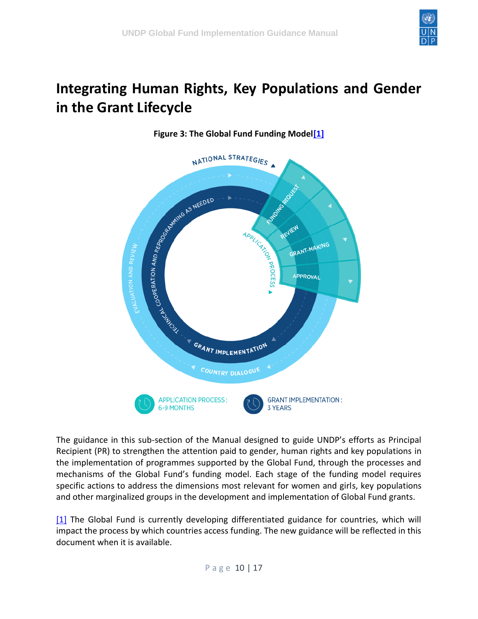

## <span id="page-9-0"></span>**Integrating Human Rights, Key Populations and Gender in the Grant Lifecycle**



#### **Figure 3: The Global Fund Funding Mode[l\[1\]](https://undphealthimplementation.org/functional-areas/human-rights-key-populations-and-gender/integrating-human-rights-key-populations-and-gender-in-the-grant-lifecycle/#_ftn1)**

The guidance in this sub-section of the Manual designed to guide UNDP's efforts as Principal Recipient (PR) to strengthen the attention paid to gender, human rights and key populations in the implementation of programmes supported by the Global Fund, through the processes and mechanisms of the Global Fund's funding model. Each stage of the funding model requires specific actions to address the dimensions most relevant for women and girls, key populations and other marginalized groups in the development and implementation of Global Fund grants.

[\[1\]](https://undphealthimplementation.org/functional-areas/human-rights-key-populations-and-gender/integrating-human-rights-key-populations-and-gender-in-the-grant-lifecycle/#_ftnref1) The Global Fund is currently developing differentiated guidance for countries, which will impact the process by which countries access funding. The new guidance will be reflected in this document when it is available.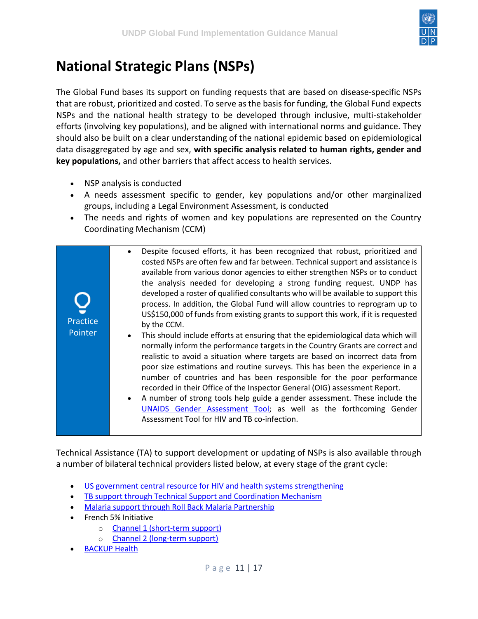

## <span id="page-10-0"></span>**National Strategic Plans (NSPs)**

The Global Fund bases its support on funding requests that are based on disease-specific NSPs that are robust, prioritized and costed. To serve as the basis for funding, the Global Fund expects NSPs and the national health strategy to be developed through inclusive, multi-stakeholder efforts (involving key populations), and be aligned with international norms and guidance. They should also be built on a clear understanding of the national epidemic based on epidemiological data disaggregated by age and sex, **with specific analysis related to human rights, gender and key populations,** and other barriers that affect access to health services.

- NSP analysis is conducted
- A needs assessment specific to gender, key populations and/or other marginalized groups, including a Legal Environment Assessment, is conducted
- The needs and rights of women and key populations are represented on the Country Coordinating Mechanism (CCM)

| Practice<br>Pointer | Despite focused efforts, it has been recognized that robust, prioritized and<br>costed NSPs are often few and far between. Technical support and assistance is<br>available from various donor agencies to either strengthen NSPs or to conduct<br>the analysis needed for developing a strong funding request. UNDP has<br>developed a roster of qualified consultants who will be available to support this<br>process. In addition, the Global Fund will allow countries to reprogram up to<br>US\$150,000 of funds from existing grants to support this work, if it is requested<br>by the CCM.<br>This should include efforts at ensuring that the epidemiological data which will<br>$\bullet$<br>normally inform the performance targets in the Country Grants are correct and<br>realistic to avoid a situation where targets are based on incorrect data from<br>poor size estimations and routine surveys. This has been the experience in a<br>number of countries and has been responsible for the poor performance<br>recorded in their Office of the Inspector General (OIG) assessment Report.<br>A number of strong tools help guide a gender assessment. These include the<br>UNAIDS Gender Assessment Tool; as well as the forthcoming Gender<br>Assessment Tool for HIV and TB co-infection. |
|---------------------|-----------------------------------------------------------------------------------------------------------------------------------------------------------------------------------------------------------------------------------------------------------------------------------------------------------------------------------------------------------------------------------------------------------------------------------------------------------------------------------------------------------------------------------------------------------------------------------------------------------------------------------------------------------------------------------------------------------------------------------------------------------------------------------------------------------------------------------------------------------------------------------------------------------------------------------------------------------------------------------------------------------------------------------------------------------------------------------------------------------------------------------------------------------------------------------------------------------------------------------------------------------------------------------------------------------------|

Technical Assistance (TA) to support development or updating of NSPs is also available through a number of bilateral technical providers listed below, at every stage of the grant cycle:

- [US government central resource for HIV and health systems strengthening](http://www.pepfar.gov/partnerships/coop/globalfund/ta/index.htm)
- [TB support through Technical Support and Coordination Mechanism](http://www.who.int/tb/en/)
- [Malaria support through Roll Back Malaria](http://www.rollbackmalaria.org/) Partnership
- French 5% Initiative
	- o [Channel 1 \(short-term support\)](http://www.initiative5pour100.fr/en/types-of-action/channel-1-short-term-expertise)
	- o [Channel 2 \(long-term support\)](http://www.initiative5pour100.fr/en/types-of-action/channel-2-projects-funding/)
- **[BACKUP Health](http://www.giz.de/expertise/html/7192.html)**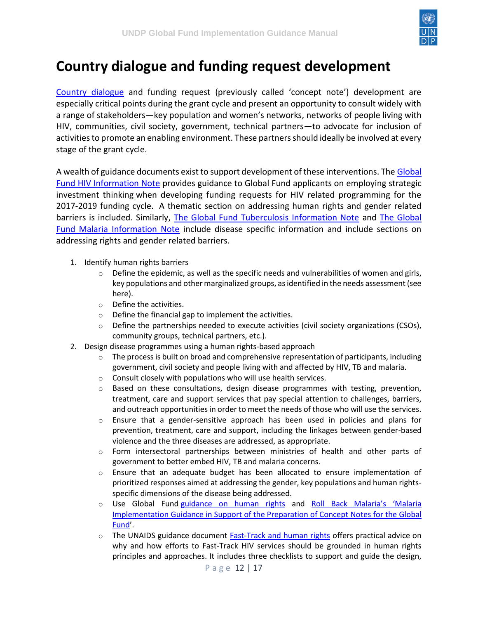

## <span id="page-11-0"></span>**Country dialogue and funding request development**

[Country dialogue](https://www.theglobalfund.org/media/5675/publication_engagecivilsociety_brochure_en.pdf) and funding request (previously called 'concept note') development are especially critical points during the grant cycle and present an opportunity to consult widely with a range of stakeholders—key population and women's networks, networks of people living with HIV, communities, civil society, government, technical partners—to advocate for inclusion of activities to promote an enabling environment. These partners should ideally be involved at every stage of the grant cycle.

A wealth of guidance documents exist to support development of these interventions. The Global [Fund HIV Information Note](https://www.theglobalfund.org/media/4765/core_hiv_infonote_en.pdf) provides guidance to Global Fund applicants on employing strategic investment thinkin[g](https://www.theglobalfund.org/media/1276/core_humanrights_infonote_en.pdf) when developing funding requests for HIV related programming for the 2017-2019 funding cycle. A thematic section on addressing human rights and gender related barriers is included. Similarly, [The Global Fund Tuberculosis Information Note](https://www.theglobalfund.org/media/4762/core_tuberculosis_infonote_en.pdf) and [The Global](https://www.theglobalfund.org/media/4768/core_malaria_infonote_en.pdf)  [Fund Malaria Information Note](https://www.theglobalfund.org/media/4768/core_malaria_infonote_en.pdf) include disease specific information and include sections on addressing rights and gender related barriers.

- 1. Identify human rights barriers
	- $\circ$  Define the epidemic, as well as the specific needs and vulnerabilities of women and girls, key populations and other marginalized groups, as identified in the needs assessment (see here).
	- o Define the activities.
	- o Define the financial gap to implement the activities.
	- $\circ$  Define the partnerships needed to execute activities (civil society organizations (CSOs), community groups, technical partners, etc.).
- 2. Design disease programmes using a human rights-based approach
	- $\circ$  The process is built on broad and comprehensive representation of participants, including government, civil society and people living with and affected by HIV, TB and malaria.
	- o Consult closely with populations who will use health services.
	- o Based on these consultations, design disease programmes with testing, prevention, treatment, care and support services that pay special attention to challenges, barriers, and outreach opportunities in order to meet the needs of those who will use the services.
	- $\circ$  Ensure that a gender-sensitive approach has been used in policies and plans for prevention, treatment, care and support, including the linkages between gender-based violence and the three diseases are addressed, as appropriate.
	- o Form intersectoral partnerships between ministries of health and other parts of government to better embed HIV, TB and malaria concerns.
	- $\circ$  Ensure that an adequate budget has been allocated to ensure implementation of prioritized responses aimed at addressing the gender, key populations and human rightsspecific dimensions of the disease being addressed.
	- o Use Global Fund [guidance on human rights](https://www.theglobalfund.org/en/human-rights/) and [Roll Back Malaria's 'Malaria](https://www.theglobalfund.org/media/4768/core_malaria_infonote_en.pdf)  [Implementation Guidance in Support of the Preparation of Concept Notes for the Global](https://www.theglobalfund.org/media/4768/core_malaria_infonote_en.pdf)  [Fund](https://www.theglobalfund.org/media/4768/core_malaria_infonote_en.pdf)'.
	- o The UNAIDS guidance document **Fast-Track and human rights** offers practical advice on why and how efforts to Fast-Track HIV services should be grounded in human rights principles and approaches. It includes three checklists to support and guide the design,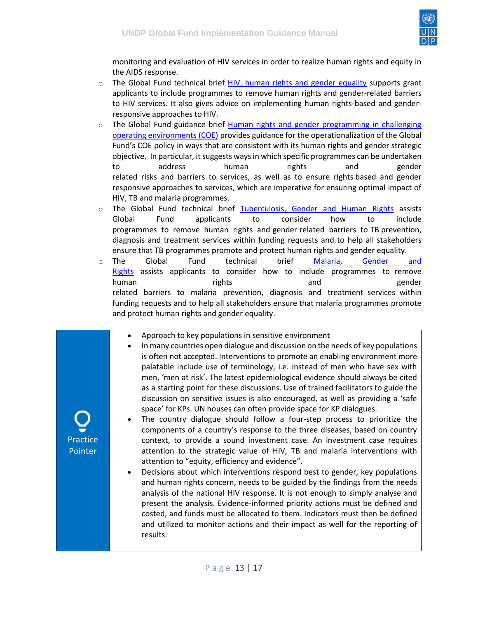

monitoring and evaluation of HIV services in order to realize human rights and equity in the AIDS response.

- $\circ$  The Global Fund technical brief [HIV, human rights and gender equality](https://www.theglobalfund.org/media/6348/core_hivhumanrightsgenderequality_technicalbrief_en.pdf) supports grant applicants to include programmes to remove human rights and gender-related barriers to HIV services. It also gives advice on implementing human rights-based and genderresponsive approaches to HIV.
- $\circ$  The Global Fund guidance brief Human rights and gender programming in challenging [operating environments \(COE\)](https://www.theglobalfund.org/media/6346/fundingmodel_humanrightsgenderchallengingoperatingenvironments_guidance_en.pdf) provides guidance for the operationalization of the Global Fund's COE policy in ways that are consistent with its human rights and gender strategic objective. In particular, it suggests ways in which specific programmes can be undertaken to address human rights and gender related risks and barriers to services, as well as to ensure rights based and gender responsive approaches to services, which are imperative for ensuring optimal impact of HIV, TB and malaria programmes.
- $\circ$  The Global Fund technical brief [Tuberculosis, Gender and Human Rights](https://www.theglobalfund.org/media/6349/core_tbhumanrightsgenderequality_technicalbrief_en.pdf) assists Global Fund applicants to consider how to include programmes to remove human rights and gender related barriers to TB prevention, diagnosis and treatment services within funding requests and to help all stakeholders ensure that TB programmes promote and protect human rights and gender equality.
- o The Global Fund technical brief <u>Malaria, Gender and</u> [Rights](https://www.theglobalfund.org/media/5536/core_malariagenderhumanrights_technicalbrief_en.pdf) assists applicants to consider how to include programmes to remove human and gender rights and and gender related barriers to malaria prevention, diagnosis and treatment services within funding requests and to help all stakeholders ensure that malaria programmes promote and protect human rights and gender equality.
	- Approach to key populations in sensitive environment
	- In many countries open dialogue and discussion on the needs of key populations is often not accepted. Interventions to promote an enabling environment more palatable include use of terminology, i.e. instead of men who have sex with men, 'men at risk'. The latest epidemiological evidence should always be cited as a starting point for these discussions. Use of trained facilitators to guide the discussion on sensitive issues is also encouraged, as well as providing a 'safe space' for KPs. UN houses can often provide space for KP dialogues.
	- The country dialogue should follow a four-step process to prioritize the components of a country's response to the three diseases, based on country context, to provide a sound investment case. An investment case requires attention to the strategic value of HIV, TB and malaria interventions with attention to "equity, efficiency and evidence".
	- Decisions about which interventions respond best to gender, key populations and human rights concern, needs to be guided by the findings from the needs analysis of the national HIV response. It is not enough to simply analyse and present the analysis. Evidence-informed priority actions must be defined and costed, and funds must be allocated to them. Indicators must then be defined and utilized to monitor actions and their impact as well for the reporting of results.

Practice Pointer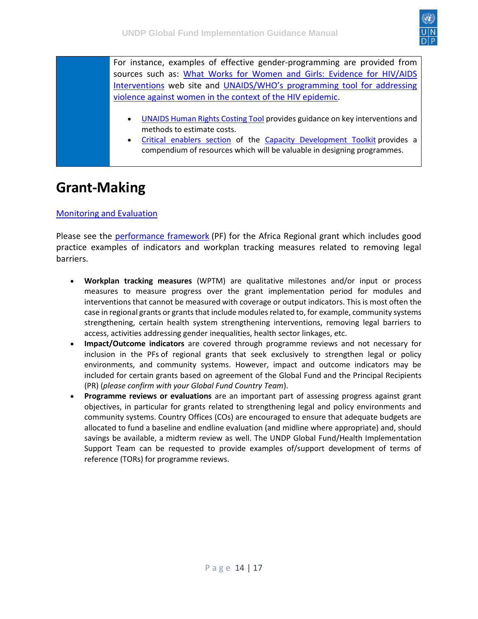

For instance, examples of effective gender-programming are provided from sources such as: [What Works for Women and Girls: Evidence for HIV/AIDS](http://www.whatworksforwomen.org/)  [Interventions](http://www.whatworksforwomen.org/) web site and [UNAIDS/WHO's programming tool for addressing](http://apps.who.int/iris/bitstream/10665/95156/1/9789241506533_eng.pdf)  [violence against women in the context of the HIV epidemic.](http://apps.who.int/iris/bitstream/10665/95156/1/9789241506533_eng.pdf)

- [UNAIDS Human Rights Costing Tool](http://www.unaids.org/en/media/unaids/contentassets/documents/document/2012/The_HRCT_User_Guide_FINAL_2012-07-09.pdf) provides guidance on key interventions and methods to estimate costs.
- [Critical enablers section](http://www.undp-globalfund-capacitydevelopment.org/en/critical-enablers/) of the [Capacity Development Toolkit](http://www.undp-globalfund-capacitydevelopment.org/) provides a compendium of resources which will be valuable in designing programmes.

#### <span id="page-13-0"></span>**Grant-Making**

#### [Monitoring and Evaluation](https://undphealthimplementation.org/functional-areas/monitoring-and-evaluation/me-components-of-grant-making/performance-framework/)

Please see the [performance framework](https://intranet.undp.org/unit/bpps/hhd/GFpartnership/UNDPasPR/Lists/PR%20Country%20Grant%20Documents/Attachments/227/QPA-H-UNDP%20RLB%20%20PF%20GF%20FINAL%20Nov15%202015.xlsx) (PF) for the Africa Regional grant which includes good practice examples of indicators and workplan tracking measures related to removing legal barriers.

- **Workplan tracking measures** (WPTM) are qualitative milestones and/or input or process measures to measure progress over the grant implementation period for modules and interventions that cannot be measured with coverage or output indicators. This is most often the case in regional grants or grants that include modules related to, for example, community systems strengthening, certain health system strengthening interventions, removing legal barriers to access, activities addressing gender inequalities, health sector linkages, etc.
- **Impact/Outcome indicators** are covered through programme reviews and not necessary for inclusion in the PFs of regional grants that seek exclusively to strengthen legal or policy environments, and community systems. However, impact and outcome indicators may be included for certain grants based on agreement of the Global Fund and the Principal Recipients (PR) (*please confirm with your Global Fund Country Team*).
- **Programme reviews or evaluations** are an important part of assessing progress against grant objectives, in particular for grants related to strengthening legal and policy environments and community systems. Country Offices (COs) are encouraged to ensure that adequate budgets are allocated to fund a baseline and endline evaluation (and midline where appropriate) and, should savings be available, a midterm review as well. The UNDP Global Fund/Health Implementation Support Team can be requested to provide examples of/support development of terms of reference (TORs) for programme reviews.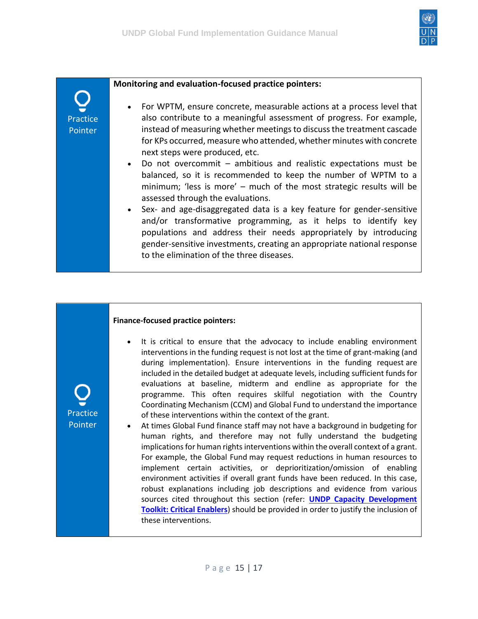

#### **Monitoring and evaluation-focused practice pointers:**

- For WPTM, ensure concrete, measurable actions at a process level that also contribute to a meaningful assessment of progress. For example, instead of measuring whether meetings to discuss the treatment cascade for KPs occurred, measure who attended, whether minutes with concrete next steps were produced, etc.
- Do not overcommit ambitious and realistic expectations must be balanced, so it is recommended to keep the number of WPTM to a minimum; 'less is more' – much of the most strategic results will be assessed through the evaluations.
- Sex- and age-disaggregated data is a key feature for gender-sensitive and/or transformative programming, as it helps to identify key populations and address their needs appropriately by introducing gender-sensitive investments, creating an appropriate national response to the elimination of the three diseases.

#### **Finance-focused practice pointers:**

- It is critical to ensure that the advocacy to include enabling environment interventions in the funding request is not lost at the time of grant-making (and during implementation). Ensure interventions in the funding request are included in the detailed budget at adequate levels, including sufficient funds for evaluations at baseline, midterm and endline as appropriate for the programme. This often requires skilful negotiation with the Country Coordinating Mechanism (CCM) and Global Fund to understand the importance of these interventions within the context of the grant.
- At times Global Fund finance staff may not have a background in budgeting for human rights, and therefore may not fully understand the budgeting implications for human rights interventions within the overall context of a grant. For example, the Global Fund may request reductions in human resources to implement certain activities, or deprioritization/omission of enabling environment activities if overall grant funds have been reduced. In this case, robust explanations including job descriptions and evidence from various sources cited throughout this section (refer: **[UNDP Capacity Development](http://www.undp-globalfund-capacitydevelopment.org/en/critical-enablers/)  [Toolkit: Critical Enablers](http://www.undp-globalfund-capacitydevelopment.org/en/critical-enablers/)**) should be provided in order to justify the inclusion of these interventions.

Practice Pointer

Practice Pointer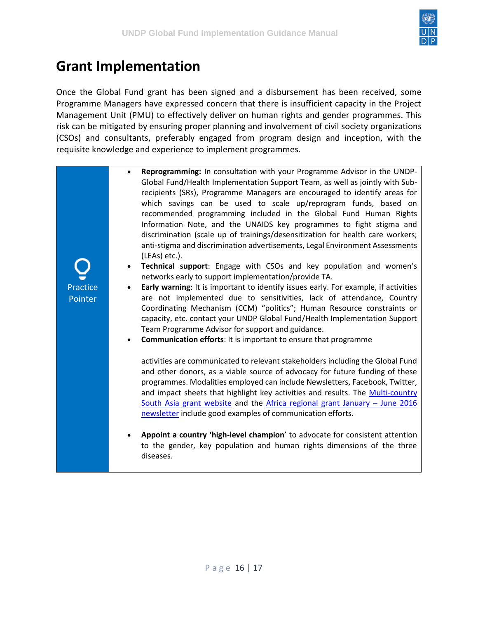

### <span id="page-15-0"></span>**Grant Implementation**

Once the Global Fund grant has been signed and a disbursement has been received, some Programme Managers have expressed concern that there is insufficient capacity in the Project Management Unit (PMU) to effectively deliver on human rights and gender programmes. This risk can be mitigated by ensuring proper planning and involvement of civil society organizations (CSOs) and consultants, preferably engaged from program design and inception, with the requisite knowledge and experience to implement programmes.

> • **Reprogramming:** In consultation with your Programme Advisor in the UNDP-Global Fund/Health Implementation Support Team, as well as jointly with Subrecipients (SRs), Programme Managers are encouraged to identify areas for which savings can be used to scale up/reprogram funds, based on recommended programming included in the Global Fund Human Rights Information Note, and the UNAIDS key programmes to fight stigma and discrimination (scale up of trainings/desensitization for health care workers; anti-stigma and discrimination advertisements, Legal Environment Assessments (LEAs) etc.).

Practice **Pointer** 

- **Technical support**: Engage with CSOs and key population and women's networks early to support implementation/provide TA.
- **Early warning**: It is important to identify issues early. For example, if activities are not implemented due to sensitivities, lack of attendance, Country Coordinating Mechanism (CCM) "politics"; Human Resource constraints or capacity, etc. contact your UNDP Global Fund/Health Implementation Support Team Programme Advisor for support and guidance.
- **Communication efforts**: It is important to ensure that programme

activities are communicated to relevant stakeholders including the Global Fund and other donors, as a viable source of advocacy for future funding of these programmes. Modalities employed can include Newsletters, Facebook, Twitter, and impact sheets that highlight key activities and results. The [Multi-country](http://www.asia-pacific.undp.org/content/rbap/en/home/operations/projects/overview/multi-country-south-asia-global-fund-hiv-programme.html)  [South Asia grant website](http://www.asia-pacific.undp.org/content/rbap/en/home/operations/projects/overview/multi-country-south-asia-global-fund-hiv-programme.html) and the [Africa regional grant January](http://www.arasa.info/news/2016-january-june-newsletter-global-fund-african-regional-grant-removing-legal-barriers/) – June 2016 [newsletter](http://www.arasa.info/news/2016-january-june-newsletter-global-fund-african-regional-grant-removing-legal-barriers/) include good examples of communication efforts.

• **Appoint a country 'high-level champion**' to advocate for consistent attention to the gender, key population and human rights dimensions of the three diseases.